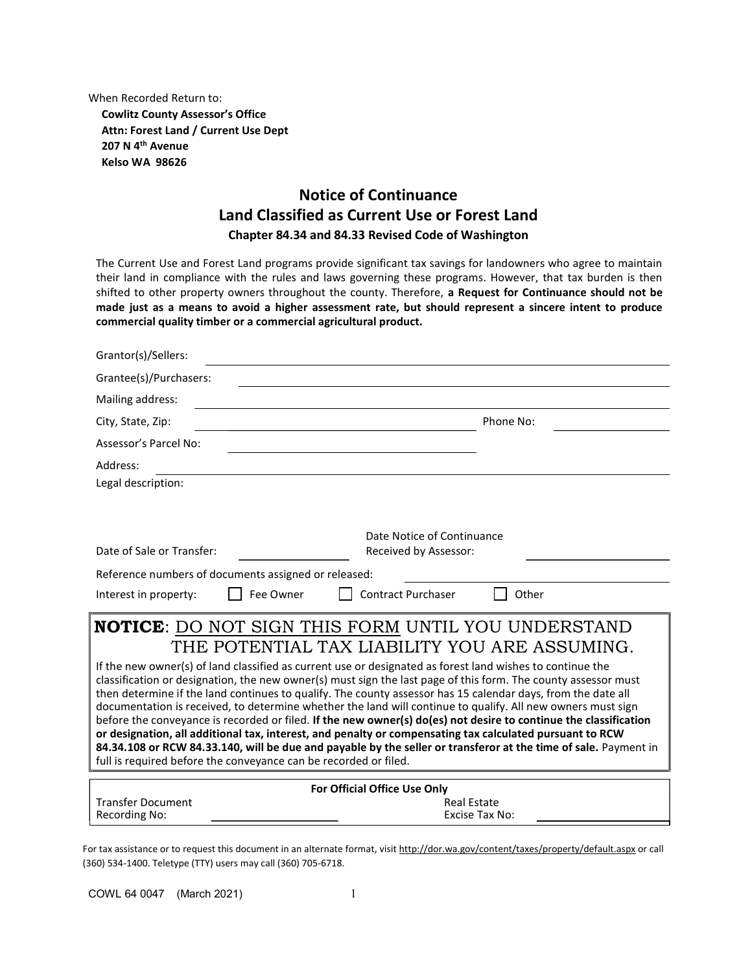When Recorded Return to:

Cowlitz County Assessor's Office Attn: Forest Land / Current Use Dept 207 N 4<sup>th</sup> Avenue Kelso WA 98626

# Notice of Continuance Land Classified as Current Use or Forest Land Chapter 84.34 and 84.33 Revised Code of Washington

The Current Use and Forest Land programs provide significant tax savings for landowners who agree to maintain their land in compliance with the rules and laws governing these programs. However, that tax burden is then shifted to other property owners throughout the county. Therefore, a Request for Continuance should not be made just as a means to avoid a higher assessment rate, but should represent a sincere intent to produce commercial quality timber or a commercial agricultural product.

| Grantor(s)/Sellers:                                              |                                                                                                                                                                                                                             |
|------------------------------------------------------------------|-----------------------------------------------------------------------------------------------------------------------------------------------------------------------------------------------------------------------------|
| Grantee(s)/Purchasers:                                           |                                                                                                                                                                                                                             |
| Mailing address:                                                 |                                                                                                                                                                                                                             |
| City, State, Zip:                                                | Phone No:                                                                                                                                                                                                                   |
| Assessor's Parcel No:                                            |                                                                                                                                                                                                                             |
| Address:                                                         |                                                                                                                                                                                                                             |
| Legal description:                                               |                                                                                                                                                                                                                             |
|                                                                  |                                                                                                                                                                                                                             |
|                                                                  | Date Notice of Continuance                                                                                                                                                                                                  |
| Date of Sale or Transfer:                                        | Received by Assessor:                                                                                                                                                                                                       |
| Reference numbers of documents assigned or released:             |                                                                                                                                                                                                                             |
| Fee Owner<br>Interest in property:                               | <b>Contract Purchaser</b><br>Other                                                                                                                                                                                          |
|                                                                  | <b>NOTICE:</b> DO NOT SIGN THIS FORM UNTIL YOU UNDERSTAND                                                                                                                                                                   |
|                                                                  | THE POTENTIAL TAX LIABILITY YOU ARE ASSUMING.                                                                                                                                                                               |
|                                                                  | If the new owner(s) of land classified as current use or designated as forest land wishes to continue the                                                                                                                   |
|                                                                  | classification or designation, the new owner(s) must sign the last page of this form. The county assessor must                                                                                                              |
|                                                                  | then determine if the land continues to qualify. The county assessor has 15 calendar days, from the date all<br>documentation is received, to determine whether the land will continue to qualify. All new owners must sign |
|                                                                  | before the conveyance is recorded or filed. If the new owner(s) do(es) not desire to continue the classification                                                                                                            |
|                                                                  | or designation, all additional tax, interest, and penalty or compensating tax calculated pursuant to RCW                                                                                                                    |
|                                                                  | 84.34.108 or RCW 84.33.140, will be due and payable by the seller or transferor at the time of sale. Payment in                                                                                                             |
| full is required before the conveyance can be recorded or filed. |                                                                                                                                                                                                                             |
|                                                                  | For Official Office Use Only                                                                                                                                                                                                |
| <b>Transfer Document</b>                                         | <b>Real Estate</b>                                                                                                                                                                                                          |
| Recording No:                                                    | Excise Tax No:                                                                                                                                                                                                              |

For tax assistance or to request this document in an alternate format, visit http://dor.wa.gov/content/taxes/property/default.aspx or call (360) 534-1400. Teletype (TTY) users may call (360) 705-6718.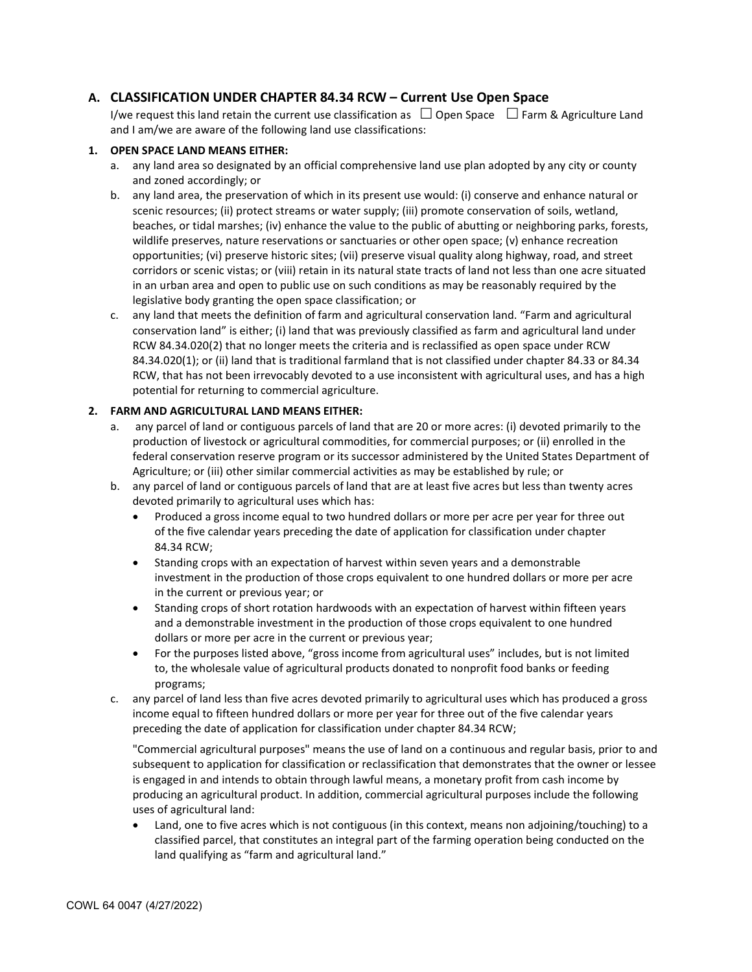# A. CLASSIFICATION UNDER CHAPTER 84.34 RCW – Current Use Open Space

I/we request this land retain the current use classification as  $\Box$  Open Space  $\Box$  Farm & Agriculture Land and I am/we are aware of the following land use classifications:

### 1. OPEN SPACE LAND MEANS EITHER:

- a. any land area so designated by an official comprehensive land use plan adopted by any city or county and zoned accordingly; or
- b. any land area, the preservation of which in its present use would: (i) conserve and enhance natural or scenic resources; (ii) protect streams or water supply; (iii) promote conservation of soils, wetland, beaches, or tidal marshes; (iv) enhance the value to the public of abutting or neighboring parks, forests, wildlife preserves, nature reservations or sanctuaries or other open space; (v) enhance recreation opportunities; (vi) preserve historic sites; (vii) preserve visual quality along highway, road, and street corridors or scenic vistas; or (viii) retain in its natural state tracts of land not less than one acre situated in an urban area and open to public use on such conditions as may be reasonably required by the legislative body granting the open space classification; or
- c. any land that meets the definition of farm and agricultural conservation land. "Farm and agricultural conservation land" is either; (i) land that was previously classified as farm and agricultural land under RCW 84.34.020(2) that no longer meets the criteria and is reclassified as open space under RCW 84.34.020(1); or (ii) land that is traditional farmland that is not classified under chapter 84.33 or 84.34 RCW, that has not been irrevocably devoted to a use inconsistent with agricultural uses, and has a high potential for returning to commercial agriculture.

#### 2. FARM AND AGRICULTURAL LAND MEANS EITHER:

- a. any parcel of land or contiguous parcels of land that are 20 or more acres: (i) devoted primarily to the production of livestock or agricultural commodities, for commercial purposes; or (ii) enrolled in the federal conservation reserve program or its successor administered by the United States Department of Agriculture; or (iii) other similar commercial activities as may be established by rule; or
- b. any parcel of land or contiguous parcels of land that are at least five acres but less than twenty acres devoted primarily to agricultural uses which has:
	- Produced a gross income equal to two hundred dollars or more per acre per year for three out of the five calendar years preceding the date of application for classification under chapter 84.34 RCW;
	- Standing crops with an expectation of harvest within seven years and a demonstrable investment in the production of those crops equivalent to one hundred dollars or more per acre in the current or previous year; or
	- Standing crops of short rotation hardwoods with an expectation of harvest within fifteen years and a demonstrable investment in the production of those crops equivalent to one hundred dollars or more per acre in the current or previous year;
	- For the purposes listed above, "gross income from agricultural uses" includes, but is not limited to, the wholesale value of agricultural products donated to nonprofit food banks or feeding programs;
- c. any parcel of land less than five acres devoted primarily to agricultural uses which has produced a gross income equal to fifteen hundred dollars or more per year for three out of the five calendar years preceding the date of application for classification under chapter 84.34 RCW;

"Commercial agricultural purposes" means the use of land on a continuous and regular basis, prior to and subsequent to application for classification or reclassification that demonstrates that the owner or lessee is engaged in and intends to obtain through lawful means, a monetary profit from cash income by producing an agricultural product. In addition, commercial agricultural purposes include the following uses of agricultural land:

 Land, one to five acres which is not contiguous (in this context, means non adjoining/touching) to a classified parcel, that constitutes an integral part of the farming operation being conducted on the land qualifying as "farm and agricultural land."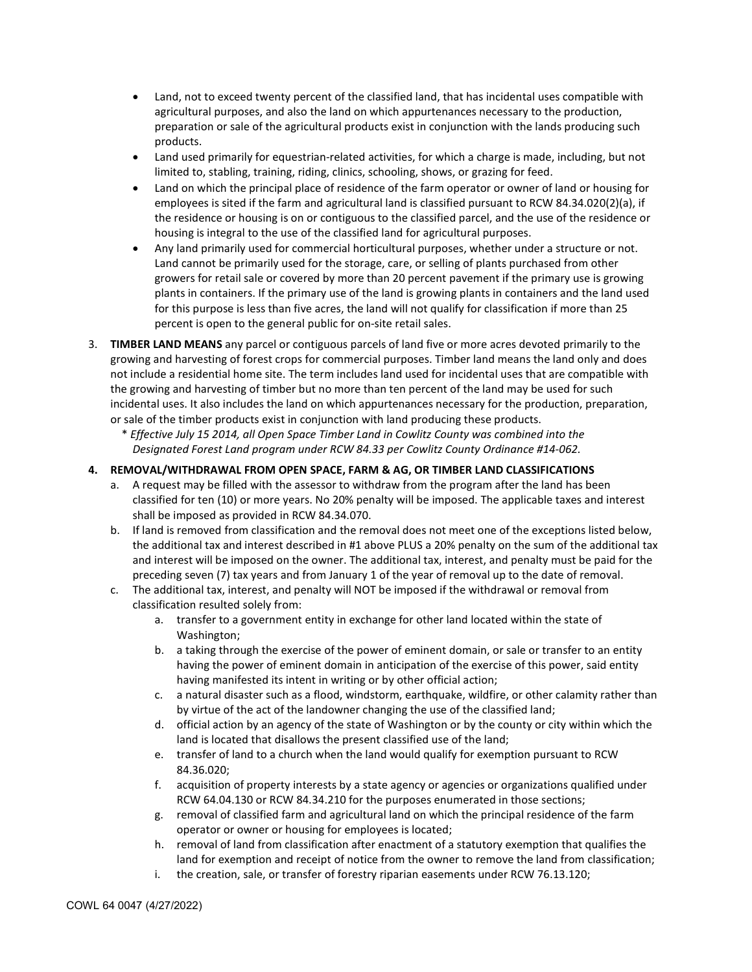- Land, not to exceed twenty percent of the classified land, that has incidental uses compatible with agricultural purposes, and also the land on which appurtenances necessary to the production, preparation or sale of the agricultural products exist in conjunction with the lands producing such products.
- Land used primarily for equestrian-related activities, for which a charge is made, including, but not limited to, stabling, training, riding, clinics, schooling, shows, or grazing for feed.
- Land on which the principal place of residence of the farm operator or owner of land or housing for employees is sited if the farm and agricultural land is classified pursuant to RCW 84.34.020(2)(a), if the residence or housing is on or contiguous to the classified parcel, and the use of the residence or housing is integral to the use of the classified land for agricultural purposes.
- Any land primarily used for commercial horticultural purposes, whether under a structure or not. Land cannot be primarily used for the storage, care, or selling of plants purchased from other growers for retail sale or covered by more than 20 percent pavement if the primary use is growing plants in containers. If the primary use of the land is growing plants in containers and the land used for this purpose is less than five acres, the land will not qualify for classification if more than 25 percent is open to the general public for on-site retail sales.
- 3. TIMBER LAND MEANS any parcel or contiguous parcels of land five or more acres devoted primarily to the growing and harvesting of forest crops for commercial purposes. Timber land means the land only and does not include a residential home site. The term includes land used for incidental uses that are compatible with the growing and harvesting of timber but no more than ten percent of the land may be used for such incidental uses. It also includes the land on which appurtenances necessary for the production, preparation, or sale of the timber products exist in conjunction with land producing these products.

\* Effective July 15 2014, all Open Space Timber Land in Cowlitz County was combined into the Designated Forest Land program under RCW 84.33 per Cowlitz County Ordinance #14-062.

# 4. REMOVAL/WITHDRAWAL FROM OPEN SPACE, FARM & AG, OR TIMBER LAND CLASSIFICATIONS

- a. A request may be filled with the assessor to withdraw from the program after the land has been classified for ten (10) or more years. No 20% penalty will be imposed. The applicable taxes and interest shall be imposed as provided in RCW 84.34.070.
- b. If land is removed from classification and the removal does not meet one of the exceptions listed below, the additional tax and interest described in #1 above PLUS a 20% penalty on the sum of the additional tax and interest will be imposed on the owner. The additional tax, interest, and penalty must be paid for the preceding seven (7) tax years and from January 1 of the year of removal up to the date of removal.
- c. The additional tax, interest, and penalty will NOT be imposed if the withdrawal or removal from classification resulted solely from:
	- a. transfer to a government entity in exchange for other land located within the state of Washington;
	- b. a taking through the exercise of the power of eminent domain, or sale or transfer to an entity having the power of eminent domain in anticipation of the exercise of this power, said entity having manifested its intent in writing or by other official action;
	- c. a natural disaster such as a flood, windstorm, earthquake, wildfire, or other calamity rather than by virtue of the act of the landowner changing the use of the classified land;
	- d. official action by an agency of the state of Washington or by the county or city within which the land is located that disallows the present classified use of the land;
	- e. transfer of land to a church when the land would qualify for exemption pursuant to RCW 84.36.020;
	- f. acquisition of property interests by a state agency or agencies or organizations qualified under RCW 64.04.130 or RCW 84.34.210 for the purposes enumerated in those sections;
	- g. removal of classified farm and agricultural land on which the principal residence of the farm operator or owner or housing for employees is located;
	- h. removal of land from classification after enactment of a statutory exemption that qualifies the land for exemption and receipt of notice from the owner to remove the land from classification;
	- i. the creation, sale, or transfer of forestry riparian easements under RCW 76.13.120;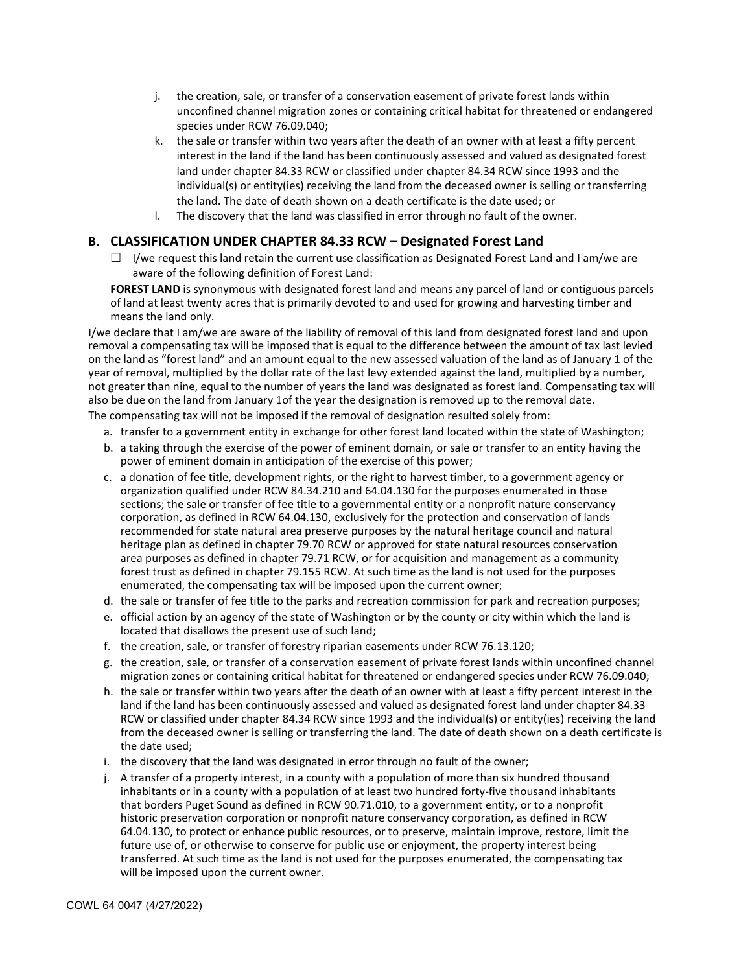- j. the creation, sale, or transfer of a conservation easement of private forest lands within unconfined channel migration zones or containing critical habitat for threatened or endangered species under RCW 76.09.040;
- k. the sale or transfer within two years after the death of an owner with at least a fifty percent interest in the land if the land has been continuously assessed and valued as designated forest land under chapter 84.33 RCW or classified under chapter 84.34 RCW since 1993 and the individual(s) or entity(ies) receiving the land from the deceased owner is selling or transferring the land. The date of death shown on a death certificate is the date used; or
- l. The discovery that the land was classified in error through no fault of the owner.

# B. CLASSIFICATION UNDER CHAPTER 84.33 RCW – Designated Forest Land

 $\Box$  I/we request this land retain the current use classification as Designated Forest Land and I am/we are aware of the following definition of Forest Land:

FOREST LAND is synonymous with designated forest land and means any parcel of land or contiguous parcels of land at least twenty acres that is primarily devoted to and used for growing and harvesting timber and means the land only.

I/we declare that I am/we are aware of the liability of removal of this land from designated forest land and upon removal a compensating tax will be imposed that is equal to the difference between the amount of tax last levied on the land as "forest land" and an amount equal to the new assessed valuation of the land as of January 1 of the year of removal, multiplied by the dollar rate of the last levy extended against the land, multiplied by a number, not greater than nine, equal to the number of years the land was designated as forest land. Compensating tax will also be due on the land from January 1of the year the designation is removed up to the removal date.

The compensating tax will not be imposed if the removal of designation resulted solely from:

- a. transfer to a government entity in exchange for other forest land located within the state of Washington;
- b. a taking through the exercise of the power of eminent domain, or sale or transfer to an entity having the power of eminent domain in anticipation of the exercise of this power;
- c. a donation of fee title, development rights, or the right to harvest timber, to a government agency or organization qualified under RCW 84.34.210 and 64.04.130 for the purposes enumerated in those sections; the sale or transfer of fee title to a governmental entity or a nonprofit nature conservancy corporation, as defined in RCW 64.04.130, exclusively for the protection and conservation of lands recommended for state natural area preserve purposes by the natural heritage council and natural heritage plan as defined in chapter 79.70 RCW or approved for state natural resources conservation area purposes as defined in chapter 79.71 RCW, or for acquisition and management as a community forest trust as defined in chapter 79.155 RCW. At such time as the land is not used for the purposes enumerated, the compensating tax will be imposed upon the current owner;
- d. the sale or transfer of fee title to the parks and recreation commission for park and recreation purposes;
- e. official action by an agency of the state of Washington or by the county or city within which the land is located that disallows the present use of such land;
- f. the creation, sale, or transfer of forestry riparian easements under RCW 76.13.120;
- g. the creation, sale, or transfer of a conservation easement of private forest lands within unconfined channel migration zones or containing critical habitat for threatened or endangered species under RCW 76.09.040;
- h. the sale or transfer within two years after the death of an owner with at least a fifty percent interest in the land if the land has been continuously assessed and valued as designated forest land under chapter 84.33 RCW or classified under chapter 84.34 RCW since 1993 and the individual(s) or entity(ies) receiving the land from the deceased owner is selling or transferring the land. The date of death shown on a death certificate is the date used;
- i. the discovery that the land was designated in error through no fault of the owner;
- j. A transfer of a property interest, in a county with a population of more than six hundred thousand inhabitants or in a county with a population of at least two hundred forty-five thousand inhabitants that borders Puget Sound as defined in RCW 90.71.010, to a government entity, or to a nonprofit historic preservation corporation or nonprofit nature conservancy corporation, as defined in RCW 64.04.130, to protect or enhance public resources, or to preserve, maintain improve, restore, limit the future use of, or otherwise to conserve for public use or enjoyment, the property interest being transferred. At such time as the land is not used for the purposes enumerated, the compensating tax will be imposed upon the current owner.